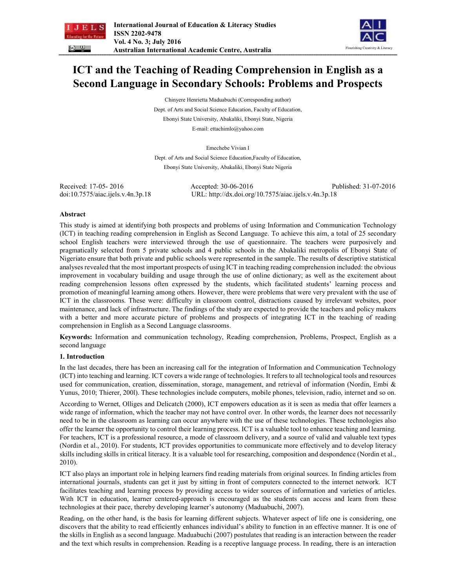



# **ICT and the Teaching of Reading Comprehension in English as a Second Language in Secondary Schools: Problems and Prospects**

Chinyere Henrietta Maduabuchi (Corresponding author) Dept. of Arts and Social Science Education, Faculty of Education, Ebonyi State University, Abakaliki, Ebonyi State, Nigeria E-mail: ettachimlo@yahoo.com

Emechebe Vivian I

Dept. of Arts and Social Science Education,Faculty of Education, Ebonyi State University, Abakaliki, Ebonyi State Nigeria

Received: 17-05- 2016 Accepted: 30-06-2016 Published: 31-07-2016 doi:10.7575/aiac.ijels.v.4n.3p.18 URL: http://dx.doi.org/10.7575/aiac.ijels.v.4n.3p.18

#### **Abstract**

This study is aimed at identifying both prospects and problems of using Information and Communication Technology (ICT) in teaching reading comprehension in English as Second Language. To achieve this aim, a total of 25 secondary school English teachers were interviewed through the use of questionnaire. The teachers were purposively and pragmatically selected from 5 private schools and 4 public schools in the Abakaliki metropolis of Ebonyi State of Nigeriato ensure that both private and public schools were represented in the sample. The results of descriptive statistical analyses revealed that the most important prospects of using ICT in teaching reading comprehension included: the obvious improvement in vocabulary building and usage through the use of online dictionary; as well as the excitement about reading comprehension lessons often expressed by the students, which facilitated students' learning process and promotion of meaningful learning among others. However, there were problems that were very prevalent with the use of ICT in the classrooms. These were: difficulty in classroom control, distractions caused by irrelevant websites, poor maintenance, and lack of infrastructure. The findings of the study are expected to provide the teachers and policy makers with a better and more accurate picture of problems and prospects of integrating ICT in the teaching of reading comprehension in English as a Second Language classrooms.

**Keywords:** Information and communication technology, Reading comprehension, Problems, Prospect, English as a second language

#### **1. Introduction**

In the last decades, there has been an increasing call for the integration of Information and Communication Technology (ICT) into teaching and learning. ICT covers a wide range of technologies. It refers to all technological tools and resources used for communication, creation, dissemination, storage, management, and retrieval of information (Nordin, Embi & Yunus, 2010; Thierer, 200l). These technologies include computers, mobile phones, television, radio, internet and so on.

According to Wernet, Olliges and Delicatch (2000), ICT empowers education as it is seen as media that offer learners a wide range of information, which the teacher may not have control over. In other words, the learner does not necessarily need to be in the classroom as learning can occur anywhere with the use of these technologies. These technologies also offer the learner the opportunity to control their learning process. ICT is a valuable tool to enhance teaching and learning. For teachers, ICT is a professional resource, a mode of classroom delivery, and a source of valid and valuable text types (Nordin et al., 2010). For students, ICT provides opportunities to communicate more effectively and to develop literacy skills including skills in critical literacy. It is a valuable tool for researching, composition and despondence (Nordin et al., 2010).

ICT also plays an important role in helping learners find reading materials from original sources. In finding articles from international journals, students can get it just by sitting in front of computers connected to the internet network. ICT facilitates teaching and learning process by providing access to wider sources of information and varieties of articles. With ICT in education, learner centered-approach is encouraged as the students can access and learn from these technologies at their pace, thereby developing learner's autonomy (Maduabuchi, 2007).

Reading, on the other hand, is the basis for learning different subjects. Whatever aspect of life one is considering, one discovers that the ability to read efficiently enhances individual's ability to function in an effective manner. It is one of the skills in English as a second language. Maduabuchi (2007) postulates that reading is an interaction between the reader and the text which results in comprehension. Reading is a receptive language process. In reading, there is an interaction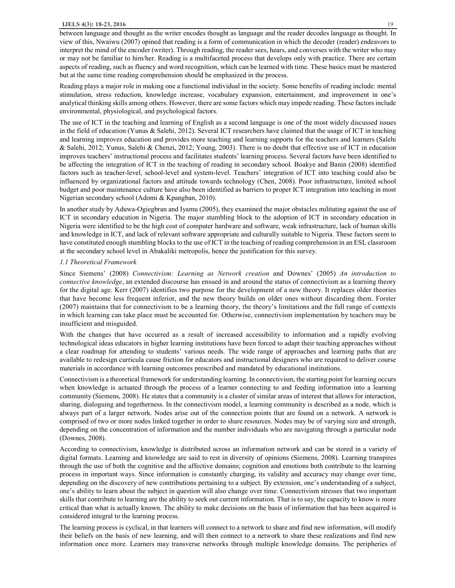between language and thought as the writer encodes thought as language and the reader decodes language as thought. In view of this, Nwaiwu (2007) opined that reading is a form of communication in which the decoder (reader) endeavors to interpret the mind of the encoder (writer). Through reading, the reader sees, hears, and converses with the writer who may or may not be familiar to him/her. Reading is a multifaceted process that develops only with practice. There are certain aspects of reading, such as fluency and word recognition, which can be learned with time. These basics must be mastered but at the same time reading comprehension should be emphasized in the process.

Reading plays a major role in making one a functional individual in the society. Some benefits of reading include: mental stimulation, stress reduction, knowledge increase, vocabulary expansion, entertainment, and improvement in one's analytical thinking skills among others. However, there are some factors which may impede reading. These factors include environmental, physiological, and psychological factors.

The use of ICT in the teaching and learning of English as a second language is one of the most widely discussed issues in the field of education (Yunus & Salehi, 2012). Several ICT researchers have claimed that the usage of ICT in teaching and learning improves education and provides more teaching and learning supports for the teachers and learners (Salehi & Salehi, 2012; Yunus, Salehi & Chenzi, 2012; Young, 2003). There is no doubt that effective use of ICT in education improves teachers' instructional process and facilitates students' learning process. Several factors have been identified to be affecting the integration of ICT in the teaching of reading in secondary school. Boakye and Banin (2008) identified factors such as teacher-level, school-level and system-level. Teachers' integration of ICT into teaching could also be influenced by organizational factors and attitude towards technology (Chen, 2008). Poor infrastructure, limited school budget and poor maintenance culture have also been identified as barriers to proper ICT integration into teaching in most Nigerian secondary school (Adomi & Kpangban, 2010).

In another study by Aduwa-Ogiegbran and Iyamu (2005), they examined the major obstacles militating against the use of ICT in secondary education in Nigeria. The major stumbling block to the adoption of ICT in secondary education in Nigeria were identified to be the high cost of computer hardware and software, weak infrastructure, lack of human skills and knowledge in ICT, and lack of relevant software appropriate and culturally suitable to Nigeria. These factors seem to have constituted enough stumbling blocks to the use of ICT in the teaching of reading comprehension in an ESL classroom at the secondary school level in Abakaliki metropolis, hence the justification for this survey.

#### *1.1 Theoretical Framework*

Since Siemens' (2008) *Connectivism: Learning as Network creation* and Downes' (2005) *An introduction to connective knowledge*, an extended discourse has ensued in and around the status of connectivism as a learning theory for the digital age. Kerr (2007) identifies two purpose for the development of a new theory. It replaces older theories that have become less frequent inferior, and the new theory builds on older ones without discarding them. Forster (2007) maintains that for connectivism to be a learning theory, the theory's limitations and the full range of contexts in which learning can take place must be accounted for. Otherwise, connectivism implementation by teachers may be insufficient and misguided.

With the changes that have occurred as a result of increased accessibility to information and a rapidly evolving technological ideas educators in higher learning institutions have been forced to adapt their teaching approaches without a clear roadmap for attending to students' various needs. The wide range of approaches and learning paths that are available to redesign curricula cause friction for educators and instructional designers who are required to deliver course materials in accordance with learning outcomes prescribed and mandated by educational institutions.

Connectivism is a theoretical framework for understanding learning. In connectivism, the starting point for learning occurs when knowledge is actuated through the process of a learner connecting to and feeding information into a learning community (Siemens, 2008). He states that a community is a cluster of similar areas of interest that allows for interaction, sharing, dialoguing and togetherness. In the connectivism model, a learning community is described as a node, which is always part of a larger network. Nodes arise out of the connection points that are found on a network. A network is comprised of two or more nodes linked together in order to share resources. Nodes may be of varying size and strength, depending on the concentration of information and the number individuals who are navigating through a particular node (Downes, 2008).

According to connectivism, knowledge is distributed across an information network and can be stored in a variety of digital formats. Learning and knowledge are said to rest in diversity of opinions (Siemens, 2008). Learning transpires through the use of both the cognitive and the affective domains; cognition and emotions both contribute to the learning process in important ways. Since information is constantly charging, its validity and accuracy may change over time, depending on the discovery of new contributions pertaining to a subject. By extension, one's understanding of a subject, one's ability to learn about the subject in question will also change over time. Connectivism stresses that two important skills that contribute to learning are the ability to seek out current information. That is to say, the capacity to know is more critical than what is actually known. The ability to make decisions on the basis of information that has been acquired is considered integral to the learning process.

The learning process is cyclical, in that learners will connect to a network to share and find new information, will modify their beliefs on the basis of new learning, and will then connect to a network to share these realizations and find new information once more. Learners may transverse networks through multiple knowledge domains. The peripheries of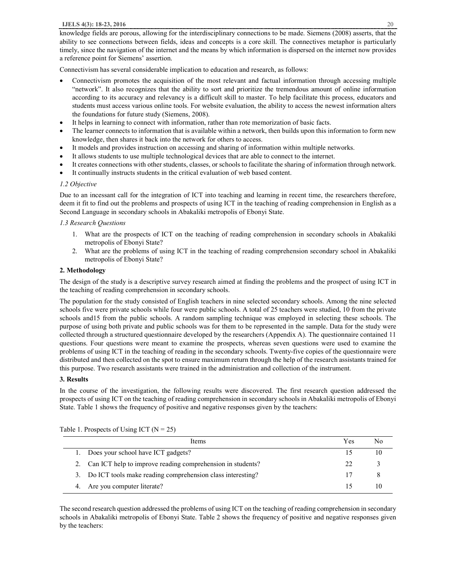knowledge fields are porous, allowing for the interdisciplinary connections to be made. Siemens (2008) asserts, that the ability to see connections between fields, ideas and concepts is a core skill. The connectives metaphor is particularly timely, since the navigation of the internet and the means by which information is dispersed on the internet now provides a reference point for Siemens' assertion.

Connectivism has several considerable implication to education and research, as follows:

- Connectivism promotes the acquisition of the most relevant and factual information through accessing multiple "network". It also recognizes that the ability to sort and prioritize the tremendous amount of online information according to its accuracy and relevancy is a difficult skill to master. To help facilitate this process, educators and students must access various online tools. For website evaluation, the ability to access the newest information alters the foundations for future study (Siemens, 2008).
- It helps in learning to connect with information, rather than rote memorization of basic facts.
- The learner connects to information that is available within a network, then builds upon this information to form new knowledge, then shares it back into the network for others to access.
- It models and provides instruction on accessing and sharing of information within multiple networks.
- It allows students to use multiple technological devices that are able to connect to the internet.
- It creates connections with other students, classes, or schools to facilitate the sharing of information through network.
- It continually instructs students in the critical evaluation of web based content.

### *1.2 Objective*

Due to an incessant call for the integration of ICT into teaching and learning in recent time, the researchers therefore, deem it fit to find out the problems and prospects of using ICT in the teaching of reading comprehension in English as a Second Language in secondary schools in Abakaliki metropolis of Ebonyi State.

#### *1.3 Research Questions*

- 1. What are the prospects of ICT on the teaching of reading comprehension in secondary schools in Abakaliki metropolis of Ebonyi State?
- 2. What are the problems of using ICT in the teaching of reading comprehension secondary school in Abakaliki metropolis of Ebonyi State?

### **2. Methodology**

The design of the study is a descriptive survey research aimed at finding the problems and the prospect of using ICT in the teaching of reading comprehension in secondary schools.

The population for the study consisted of English teachers in nine selected secondary schools. Among the nine selected schools five were private schools while four were public schools. A total of 25 teachers were studied, 10 from the private schools and15 from the public schools. A random sampling technique was employed in selecting these schools. The purpose of using both private and public schools was for them to be represented in the sample. Data for the study were collected through a structured questionnaire developed by the researchers (Appendix A). The questionnaire contained 11 questions. Four questions were meant to examine the prospects, whereas seven questions were used to examine the problems of using ICT in the teaching of reading in the secondary schools. Twenty-five copies of the questionnaire were distributed and then collected on the spot to ensure maximum return through the help of the research assistants trained for this purpose. Two research assistants were trained in the administration and collection of the instrument.

#### **3. Results**

In the course of the investigation, the following results were discovered. The first research question addressed the prospects of using ICT on the teaching of reading comprehension in secondary schools in Abakaliki metropolis of Ebonyi State. Table 1 shows the frequency of positive and negative responses given by the teachers:

| Items                                                         | Yes |    |
|---------------------------------------------------------------|-----|----|
| 1. Does your school have ICT gadgets?                         |     | 10 |
| 2. Can ICT help to improve reading comprehension in students? | フフ  |    |
| 3. Do ICT tools make reading comprehension class interesting? |     |    |
| 4. Are you computer literate?                                 |     |    |

Table 1. Prospects of Using ICT ( $N = 25$ )

The second research question addressed the problems of using ICT on the teaching of reading comprehension in secondary schools in Abakaliki metropolis of Ebonyi State. Table 2 shows the frequency of positive and negative responses given by the teachers: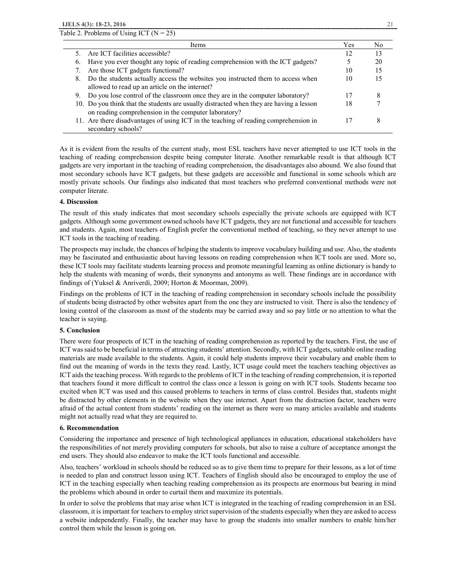| <b>Items</b>                                                                                                                                    | Yes | No |
|-------------------------------------------------------------------------------------------------------------------------------------------------|-----|----|
| 5. Are ICT facilities accessible?                                                                                                               | 12  | 13 |
| Have you ever thought any topic of reading comprehension with the ICT gadgets?<br>6.                                                            |     | 20 |
| Are those ICT gadgets functional?                                                                                                               | 10  | 15 |
| 8. Do the students actually access the websites you instructed them to access when                                                              | 10  | 15 |
| allowed to read up an article on the internet?<br>9. Do you lose control of the classroom once they are in the computer laboratory?             |     |    |
| 10. Do you think that the students are usually distracted when they are having a lesson<br>on reading comprehension in the computer laboratory? | 18  |    |
| 11. Are there disadvantages of using ICT in the teaching of reading comprehension in<br>secondary schools?                                      |     | δ  |

As it is evident from the results of the current study, most ESL teachers have never attempted to use ICT tools in the teaching of reading comprehension despite being computer literate. Another remarkable result is that although ICT gadgets are very important in the teaching of reading comprehension, the disadvantages also abound. We also found that most secondary schools have ICT gadgets, but these gadgets are accessible and functional in some schools which are mostly private schools. Our findings also indicated that most teachers who preferred conventional methods were not computer literate.

#### **4. Discussion**

The result of this study indicates that most secondary schools especially the private schools are equipped with ICT gadgets. Although some government owned schools have ICT gadgets, they are not functional and accessible for teachers and students. Again, most teachers of English prefer the conventional method of teaching, so they never attempt to use ICT tools in the teaching of reading.

The prospects may include, the chances of helping the students to improve vocabulary building and use. Also, the students may be fascinated and enthusiastic about having lessons on reading comprehension when ICT tools are used. More so, these ICT tools may facilitate students learning process and promote meaningful learning as online dictionary is handy to help the students with meaning of words, their synonyms and antonyms as well. These findings are in accordance with findings of (Yuksel & Anriverdi, 2009; Horton & Moorman, 2009).

Findings on the problems of ICT in the teaching of reading comprehension in secondary schools include the possibility of students being distracted by other websites apart from the one they are instructed to visit. There is also the tendency of losing control of the classroom as most of the students may be carried away and so pay little or no attention to what the teacher is saying.

#### **5. Conclusion**

There were four prospects of ICT in the teaching of reading comprehension as reported by the teachers. First, the use of ICT was said to be beneficial in terms of attracting students' attention. Secondly, with ICT gadgets, suitable online reading materials are made available to the students. Again, it could help students improve their vocabulary and enable them to find out the meaning of words in the texts they read. Lastly, ICT usage could meet the teachers teaching objectives as ICT aids the teaching process. With regards to the problems of ICT in the teaching of reading comprehension, it is reported that teachers found it more difficult to control the class once a lesson is going on with ICT tools. Students became too excited when ICT was used and this caused problems to teachers in terms of class control. Besides that, students might be distracted by other elements in the website when they use internet. Apart from the distraction factor, teachers were afraid of the actual content from students' reading on the internet as there were so many articles available and students might not actually read what they are required to.

#### **6. Recommendation**

Considering the importance and presence of high technological appliances in education, educational stakeholders have the responsibilities of not merely providing computers for schools, but also to raise a culture of acceptance amongst the end users. They should also endeavor to make the ICT tools functional and accessible.

Also, teachers' workload in schools should be reduced so as to give them time to prepare for their lessons, as a lot of time is needed to plan and construct lesson using ICT. Teachers of English should also be encouraged to employ the use of ICT in the teaching especially when teaching reading comprehension as its prospects are enormous but bearing in mind the problems which abound in order to curtail them and maximize its potentials.

In order to solve the problems that may arise when ICT is integrated in the teaching of reading comprehension in an ESL classroom, it is important for teachers to employ strict supervision of the students especially when they are asked to access a website independently. Finally, the teacher may have to group the students into smaller numbers to enable him/her control them while the lesson is going on.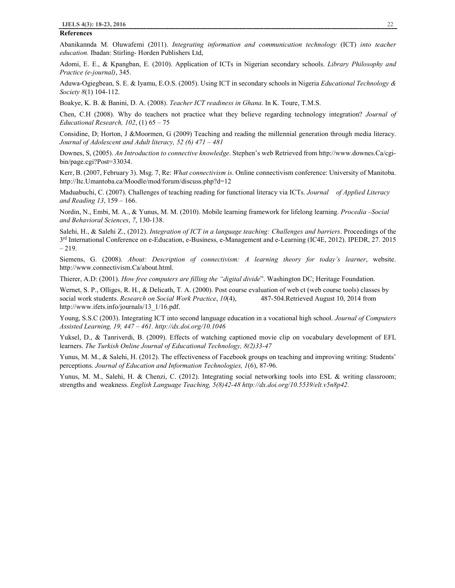#### **References**

Abanikannda M. Oluwafemi (2011). *Integrating information and communication technology* (ICT) *into teacher education.* Ibadan: Stirling- Horden Publishers Ltd,

Adomi, E. E., & Kpangban, E. (2010). Application of ICTs in Nigerian secondary schools. *Library Philosophy and Practice (e-journal)*, 345.

Aduwa-Ogiegbean, S. E. & Iyamu, E.O.S. (2005). Using ICT in secondary schools in Nigeria *Educational Technology & Society 8*(1) 104-112.

Boakye, K. B. & Banini, D. A. (2008). *Teacher ICT readiness in Ghana*. In K. Toure, T.M.S.

Chen, C.H (2008). Why do teachers not practice what they believe regarding technology integration? *Journal of Educational Research, 102*, (1) 65 – 75

Considine, D; Horton, J &Moormen, G (2009) Teaching and reading the millennial generation through media literacy. *Journal of Adolescent and Adult literacy, 52 (6) 471 – 481*

Downes, S, (2005). *An Introduction to connective knowledge*. Stephen's web Retrieved from http://www.downes.Ca/cgibin/page.cgi?Post=33034.

Kerr, B. (2007, February 3). Msg. 7, Re: *What connectivism is*. Online connectivism conference: University of Manitoba. http://Itc.Umantoba.ca/Moodle/mod/forum/discuss.php?d=12

Maduabuchi, C. (2007). Challenges of teaching reading for functional literacy via ICTs. *Journal of Applied Literacy and Reading 13*, 159 – 166.

Nordin, N., Embi, M. A., & Yunus, M. M. (2010). Mobile learning framework for lifelong learning. *Procedia –Social and Behavioral Sciences*, *7*, 130-138.

Salehi, H., & Salehi Z., (2012). *Integration of ICT in a language teaching: Challenges and barriers*. Proceedings of the 3<sup>rd</sup> International Conference on e-Education, e-Business, e-Management and e-Learning (IC4E, 2012). IPEDR, 27. 2015 – 219.

Siemens, G. (2008). *About: Description of connectivism: A learning theory for today's learner*, website. http://www.connectivism.Ca/about.html.

Thierer, A.D: (2001). *How free computers are filling the "digital divide*". Washington DC; Heritage Foundation.

Wernet, S. P., Olliges, R. H., & Delicath, T. A. (2000). Post course evaluation of web ct (web course tools) classes by social work students. *Research on Social Work Practice*, *10*(4), 487-504.Retrieved August 10, 2014 from http://www.ifets.info/journals/13\_1/16.pdf.

Young, S.S.C (2003). Integrating ICT into second language education in a vocational high school. *Journal of Computers Assisted Learning, 19, 447 – 461. http://dx.doi.org/10.1046*

Yuksel, D., & Tanriverdi, B. (2009). Effects of watching captioned movie clip on vocabulary development of EFL learners. *The Turkish Online Journal of Educational Technology, 8(2)33-47* 

Yunus, M. M., & Salehi, H. (2012). The effectiveness of Facebook groups on teaching and improving writing: Students' perceptions. *Journal of Education and Information Technologies, 1*(6), 87-96.

Yunus, M. M., Salehi, H. & Chenzi, C. (2012). Integrating social networking tools into ESL & writing classroom; strengths and weakness. *English Language Teaching, 5(8)42-48 http://dx.doi.org/10.5539/elt.v5n8p42*.